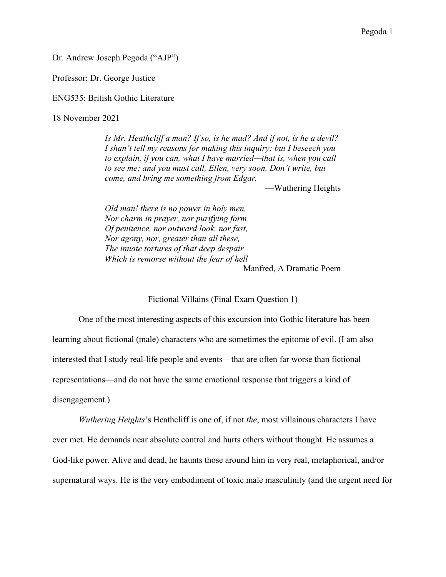Dr. Andrew Joseph Pegoda ("AJP")

Professor: Dr. George Justice

ENG535: British Gothic Literature

18 November 2021

*Is Mr. Heathcliff a man? If so, is he mad? And if not, is he a devil? I shan't tell my reasons for making this inquiry; but I beseech you to explain, if you can, what I have married—that is, when you call to see me; and you must call, Ellen, very soon. Don't write, but come, and bring me something from Edgar.*

—Wuthering Heights

*Old man! there is no power in holy men, Nor charm in prayer, nor purifying form Of penitence, nor outward look, nor fast, Nor agony, nor, greater than all these, The innate tortures of that deep despair Which is remorse without the fear of hell* —Manfred, A Dramatic Poem

Fictional Villains (Final Exam Question 1)

One of the most interesting aspects of this excursion into Gothic literature has been learning about fictional (male) characters who are sometimes the epitome of evil. (I am also interested that I study real-life people and events—that are often far worse than fictional representations—and do not have the same emotional response that triggers a kind of disengagement.)

*Wuthering Heights*'s Heathcliff is one of, if not *the*, most villainous characters I have ever met. He demands near absolute control and hurts others without thought. He assumes a God-like power. Alive and dead, he haunts those around him in very real, metaphorical, and/or supernatural ways. He is the very embodiment of toxic male masculinity (and the urgent need for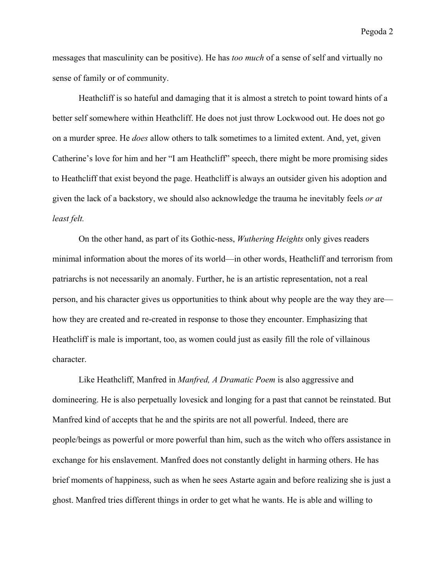Pegoda 2

messages that masculinity can be positive). He has *too much* of a sense of self and virtually no sense of family or of community.

Heathcliff is so hateful and damaging that it is almost a stretch to point toward hints of a better self somewhere within Heathcliff. He does not just throw Lockwood out. He does not go on a murder spree. He *does* allow others to talk sometimes to a limited extent. And, yet, given Catherine's love for him and her "I am Heathcliff" speech, there might be more promising sides to Heathcliff that exist beyond the page. Heathcliff is always an outsider given his adoption and given the lack of a backstory, we should also acknowledge the trauma he inevitably feels *or at least felt.* 

On the other hand, as part of its Gothic-ness, *Wuthering Heights* only gives readers minimal information about the mores of its world—in other words, Heathcliff and terrorism from patriarchs is not necessarily an anomaly. Further, he is an artistic representation, not a real person, and his character gives us opportunities to think about why people are the way they are how they are created and re-created in response to those they encounter. Emphasizing that Heathcliff is male is important, too, as women could just as easily fill the role of villainous character.

Like Heathcliff, Manfred in *Manfred, A Dramatic Poem* is also aggressive and domineering. He is also perpetually lovesick and longing for a past that cannot be reinstated. But Manfred kind of accepts that he and the spirits are not all powerful. Indeed, there are people/beings as powerful or more powerful than him, such as the witch who offers assistance in exchange for his enslavement. Manfred does not constantly delight in harming others. He has brief moments of happiness, such as when he sees Astarte again and before realizing she is just a ghost. Manfred tries different things in order to get what he wants. He is able and willing to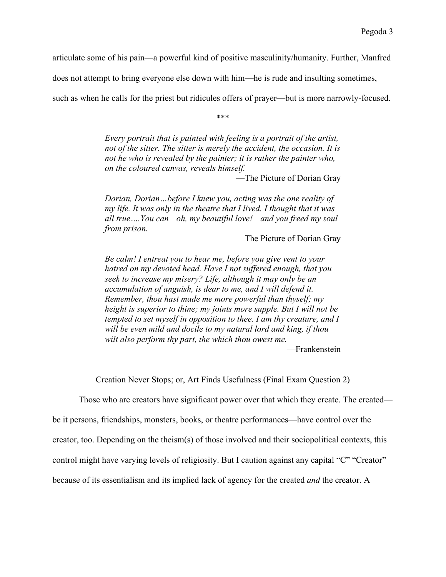articulate some of his pain—a powerful kind of positive masculinity/humanity. Further, Manfred

does not attempt to bring everyone else down with him—he is rude and insulting sometimes,

such as when he calls for the priest but ridicules offers of prayer—but is more narrowly-focused.

\*\*\*

*Every portrait that is painted with feeling is a portrait of the artist, not of the sitter. The sitter is merely the accident, the occasion. It is not he who is revealed by the painter; it is rather the painter who, on the coloured canvas, reveals himself.*

—The Picture of Dorian Gray

*Dorian, Dorian…before I knew you, acting was the one reality of my life. It was only in the theatre that I lived. I thought that it was all true….You can—oh, my beautiful love!—and you freed my soul from prison.*

—The Picture of Dorian Gray

*Be calm! I entreat you to hear me, before you give vent to your hatred on my devoted head. Have I not suffered enough, that you seek to increase my misery? Life, although it may only be an accumulation of anguish, is dear to me, and I will defend it. Remember, thou hast made me more powerful than thyself; my height is superior to thine; my joints more supple. But I will not be tempted to set myself in opposition to thee. I am thy creature, and I will be even mild and docile to my natural lord and king, if thou wilt also perform thy part, the which thou owest me.*

—Frankenstein

Creation Never Stops; or, Art Finds Usefulness (Final Exam Question 2)

Those who are creators have significant power over that which they create. The created—

be it persons, friendships, monsters, books, or theatre performances—have control over the

creator, too. Depending on the theism(s) of those involved and their sociopolitical contexts, this

control might have varying levels of religiosity. But I caution against any capital "C" "Creator"

because of its essentialism and its implied lack of agency for the created *and* the creator. A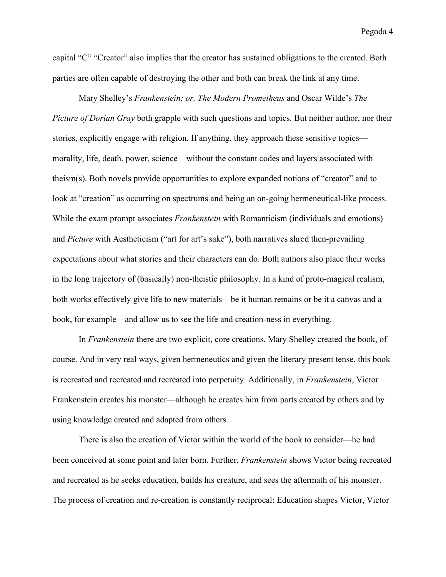capital "C" "Creator" also implies that the creator has sustained obligations to the created. Both parties are often capable of destroying the other and both can break the link at any time.

Mary Shelley's *Frankenstein; or, The Modern Prometheus* and Oscar Wilde's *The Picture of Dorian Gray* both grapple with such questions and topics. But neither author, nor their stories, explicitly engage with religion. If anything, they approach these sensitive topics morality, life, death, power, science—without the constant codes and layers associated with theism(s). Both novels provide opportunities to explore expanded notions of "creator" and to look at "creation" as occurring on spectrums and being an on-going hermeneutical-like process. While the exam prompt associates *Frankenstein* with Romanticism (individuals and emotions) and *Picture* with Aestheticism ("art for art's sake"), both narratives shred then-prevailing expectations about what stories and their characters can do. Both authors also place their works in the long trajectory of (basically) non-theistic philosophy. In a kind of proto-magical realism, both works effectively give life to new materials—be it human remains or be it a canvas and a book, for example—and allow us to see the life and creation-ness in everything.

In *Frankenstein* there are two explicit, core creations. Mary Shelley created the book, of course. And in very real ways, given hermeneutics and given the literary present tense, this book is recreated and recreated and recreated into perpetuity. Additionally, in *Frankenstein*, Victor Frankenstein creates his monster—although he creates him from parts created by others and by using knowledge created and adapted from others.

There is also the creation of Victor within the world of the book to consider—he had been conceived at some point and later born. Further, *Frankenstein* shows Victor being recreated and recreated as he seeks education, builds his creature, and sees the aftermath of his monster. The process of creation and re-creation is constantly reciprocal: Education shapes Victor, Victor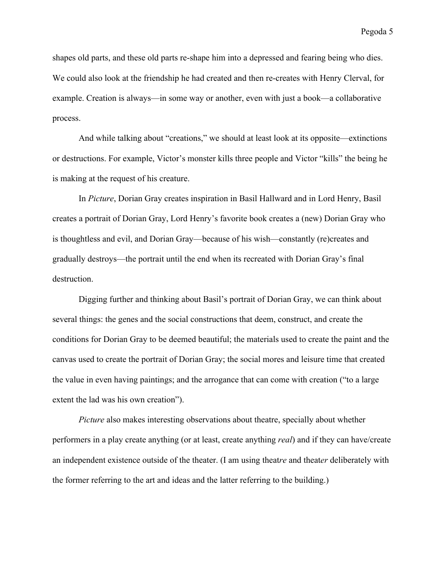Pegoda 5

shapes old parts, and these old parts re-shape him into a depressed and fearing being who dies. We could also look at the friendship he had created and then re-creates with Henry Clerval, for example. Creation is always—in some way or another, even with just a book—a collaborative process.

And while talking about "creations," we should at least look at its opposite—extinctions or destructions. For example, Victor's monster kills three people and Victor "kills" the being he is making at the request of his creature.

In *Picture*, Dorian Gray creates inspiration in Basil Hallward and in Lord Henry, Basil creates a portrait of Dorian Gray, Lord Henry's favorite book creates a (new) Dorian Gray who is thoughtless and evil, and Dorian Gray—because of his wish—constantly (re)creates and gradually destroys—the portrait until the end when its recreated with Dorian Gray's final destruction.

Digging further and thinking about Basil's portrait of Dorian Gray, we can think about several things: the genes and the social constructions that deem, construct, and create the conditions for Dorian Gray to be deemed beautiful; the materials used to create the paint and the canvas used to create the portrait of Dorian Gray; the social mores and leisure time that created the value in even having paintings; and the arrogance that can come with creation ("to a large extent the lad was his own creation").

*Picture* also makes interesting observations about theatre, specially about whether performers in a play create anything (or at least, create anything *real*) and if they can have/create an independent existence outside of the theater. (I am using theat*re* and theat*er* deliberately with the former referring to the art and ideas and the latter referring to the building.)